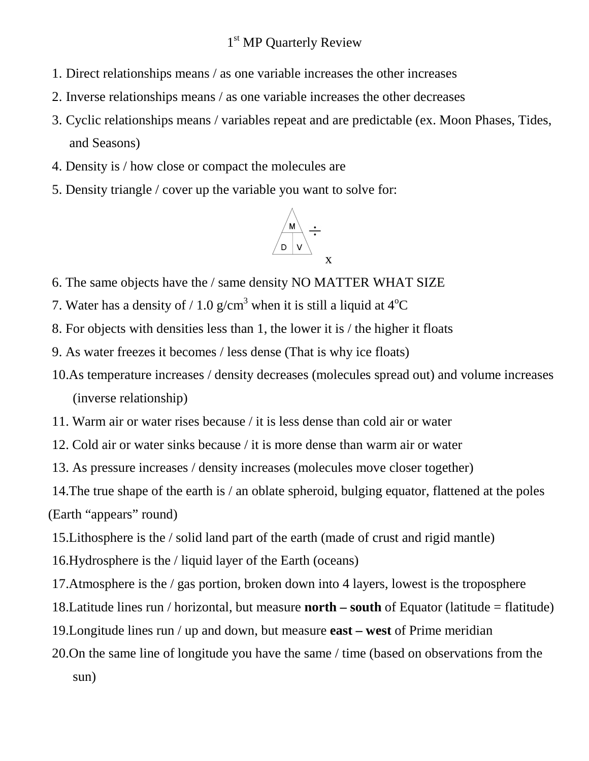## 1<sup>st</sup> MP Quarterly Review

- 1. Direct relationships means / as one variable increases the other increases
- 2. Inverse relationships means / as one variable increases the other decreases
- 3. Cyclic relationships means / variables repeat and are predictable (ex. Moon Phases, Tides, and Seasons)
- 4. Density is / how close or compact the molecules are
- 5. Density triangle / cover up the variable you want to solve for:



- 6. The same objects have the / same density NO MATTER WHAT SIZE
- 7. Water has a density of / 1.0 g/cm<sup>3</sup> when it is still a liquid at  $4^{\circ}C$
- 8. For objects with densities less than 1, the lower it is / the higher it floats
- 9. As water freezes it becomes / less dense (That is why ice floats)
- 10.As temperature increases / density decreases (molecules spread out) and volume increases (inverse relationship)
- 11. Warm air or water rises because / it is less dense than cold air or water
- 12. Cold air or water sinks because / it is more dense than warm air or water
- 13. As pressure increases / density increases (molecules move closer together)

14.The true shape of the earth is / an oblate spheroid, bulging equator, flattened at the poles (Earth "appears" round)

- 15.Lithosphere is the / solid land part of the earth (made of crust and rigid mantle)
- 16.Hydrosphere is the / liquid layer of the Earth (oceans)
- 17.Atmosphere is the / gas portion, broken down into 4 layers, lowest is the troposphere
- 18.Latitude lines run / horizontal, but measure **north south** of Equator (latitude = flatitude)
- 19.Longitude lines run / up and down, but measure **east west** of Prime meridian
- 20.On the same line of longitude you have the same / time (based on observations from the sun)